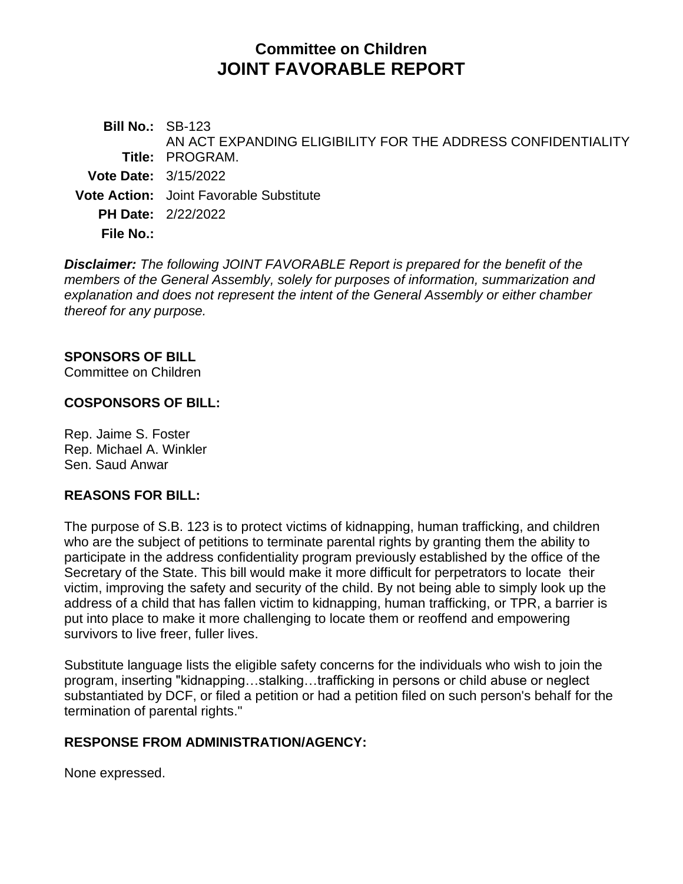# **Committee on Children JOINT FAVORABLE REPORT**

**Bill No.:** SB-123 **Title:** PROGRAM. AN ACT EXPANDING ELIGIBILITY FOR THE ADDRESS CONFIDENTIALITY **Vote Date:** 3/15/2022 **Vote Action:** Joint Favorable Substitute **PH Date:** 2/22/2022 **File No.:**

*Disclaimer: The following JOINT FAVORABLE Report is prepared for the benefit of the members of the General Assembly, solely for purposes of information, summarization and explanation and does not represent the intent of the General Assembly or either chamber thereof for any purpose.*

### **SPONSORS OF BILL**

Committee on Children

#### **COSPONSORS OF BILL:**

Rep. Jaime S. Foster Rep. Michael A. Winkler Sen. Saud Anwar

#### **REASONS FOR BILL:**

The purpose of S.B. 123 is to protect victims of kidnapping, human trafficking, and children who are the subject of petitions to terminate parental rights by granting them the ability to participate in the address confidentiality program previously established by the office of the Secretary of the State. This bill would make it more difficult for perpetrators to locate their victim, improving the safety and security of the child. By not being able to simply look up the address of a child that has fallen victim to kidnapping, human trafficking, or TPR, a barrier is put into place to make it more challenging to locate them or reoffend and empowering survivors to live freer, fuller lives.

Substitute language lists the eligible safety concerns for the individuals who wish to join the program, inserting "kidnapping…stalking…trafficking in persons or child abuse or neglect substantiated by DCF, or filed a petition or had a petition filed on such person's behalf for the termination of parental rights."

#### **RESPONSE FROM ADMINISTRATION/AGENCY:**

None expressed.